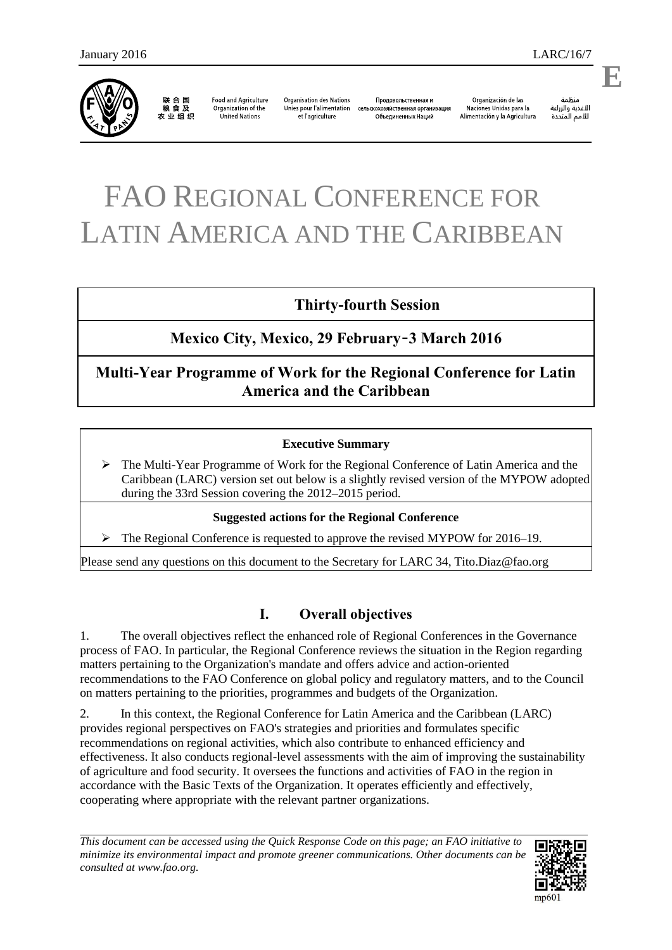联合国<br>粮食及 农业组织

**Food and Agriculture** Organization of the United Nations

**Organisation des Nations** Unies pour l'alimentation et l'agriculture

Продовольственная и сельскохозяйственная организация Объединенных Наций

Organización de las Naciones Unidas para la Alimentación y la Agricultura

änhin الأغذية والزراعة للأمم المتحدة

# FAO REGIONAL CONFERENCE FOR LATIN AMERICA AND THE CARIBBEAN

# **Thirty-fourth Session**

# **Mexico City, Mexico, 29 February**–**3 March 2016**

# **Multi-Year Programme of Work for the Regional Conference for Latin America and the Caribbean**

### **Executive Summary**

 The Multi-Year Programme of Work for the Regional Conference of Latin America and the Caribbean (LARC) version set out below is a slightly revised version of the MYPOW adopted during the 33rd Session covering the 2012–2015 period.

#### **Suggested actions for the Regional Conference**

 $\triangleright$  The Regional Conference is requested to approve the revised MYPOW for 2016–19.

Please send any questions on this document to the Secretary for LARC 34, Tito.Diaz@fao.org

# **I. Overall objectives**

1. The overall objectives reflect the enhanced role of Regional Conferences in the Governance process of FAO. In particular, the Regional Conference reviews the situation in the Region regarding matters pertaining to the Organization's mandate and offers advice and action-oriented recommendations to the FAO Conference on global policy and regulatory matters, and to the Council on matters pertaining to the priorities, programmes and budgets of the Organization.

2. In this context, the Regional Conference for Latin America and the Caribbean (LARC) provides regional perspectives on FAO's strategies and priorities and formulates specific recommendations on regional activities, which also contribute to enhanced efficiency and effectiveness. It also conducts regional-level assessments with the aim of improving the sustainability of agriculture and food security. It oversees the functions and activities of FAO in the region in accordance with the Basic Texts of the Organization. It operates efficiently and effectively, cooperating where appropriate with the relevant partner organizations.

*This document can be accessed using the Quick Response Code on this page; an FAO initiative to minimize its environmental impact and promote greener communications. Other documents can be consulted at www.fao.org.* 



**E**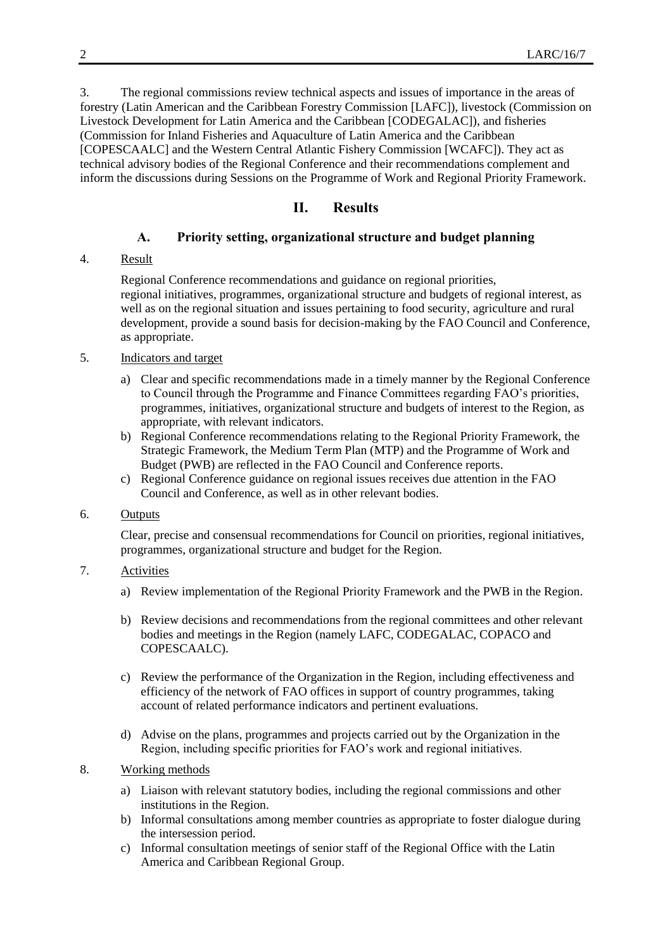3. The regional commissions review technical aspects and issues of importance in the areas of forestry (Latin American and the Caribbean Forestry Commission [LAFC]), livestock (Commission on Livestock Development for Latin America and the Caribbean [CODEGALAC]), and fisheries (Commission for Inland Fisheries and Aquaculture of Latin America and the Caribbean [COPESCAALC] and the Western Central Atlantic Fishery Commission [WCAFC]). They act as technical advisory bodies of the Regional Conference and their recommendations complement and inform the discussions during Sessions on the Programme of Work and Regional Priority Framework.

# **II. Results**

#### **A. Priority setting, organizational structure and budget planning**

#### 4. Result

Regional Conference recommendations and guidance on regional priorities, regional initiatives, programmes, organizational structure and budgets of regional interest, as well as on the regional situation and issues pertaining to food security, agriculture and rural development, provide a sound basis for decision-making by the FAO Council and Conference, as appropriate.

#### 5. Indicators and target

- a) Clear and specific recommendations made in a timely manner by the Regional Conference to Council through the Programme and Finance Committees regarding FAO's priorities, programmes, initiatives, organizational structure and budgets of interest to the Region, as appropriate, with relevant indicators.
- b) Regional Conference recommendations relating to the Regional Priority Framework, the Strategic Framework, the Medium Term Plan (MTP) and the Programme of Work and Budget (PWB) are reflected in the FAO Council and Conference reports.
- c) Regional Conference guidance on regional issues receives due attention in the FAO Council and Conference, as well as in other relevant bodies.

#### 6. Outputs

Clear, precise and consensual recommendations for Council on priorities, regional initiatives, programmes, organizational structure and budget for the Region.

#### 7. Activities

- a) Review implementation of the Regional Priority Framework and the PWB in the Region.
- b) Review decisions and recommendations from the regional committees and other relevant bodies and meetings in the Region (namely LAFC, CODEGALAC, COPACO and COPESCAALC).
- c) Review the performance of the Organization in the Region, including effectiveness and efficiency of the network of FAO offices in support of country programmes, taking account of related performance indicators and pertinent evaluations.
- d) Advise on the plans, programmes and projects carried out by the Organization in the Region, including specific priorities for FAO's work and regional initiatives.

#### 8. Working methods

- a) Liaison with relevant statutory bodies, including the regional commissions and other institutions in the Region.
- b) Informal consultations among member countries as appropriate to foster dialogue during the intersession period.
- c) Informal consultation meetings of senior staff of the Regional Office with the Latin America and Caribbean Regional Group.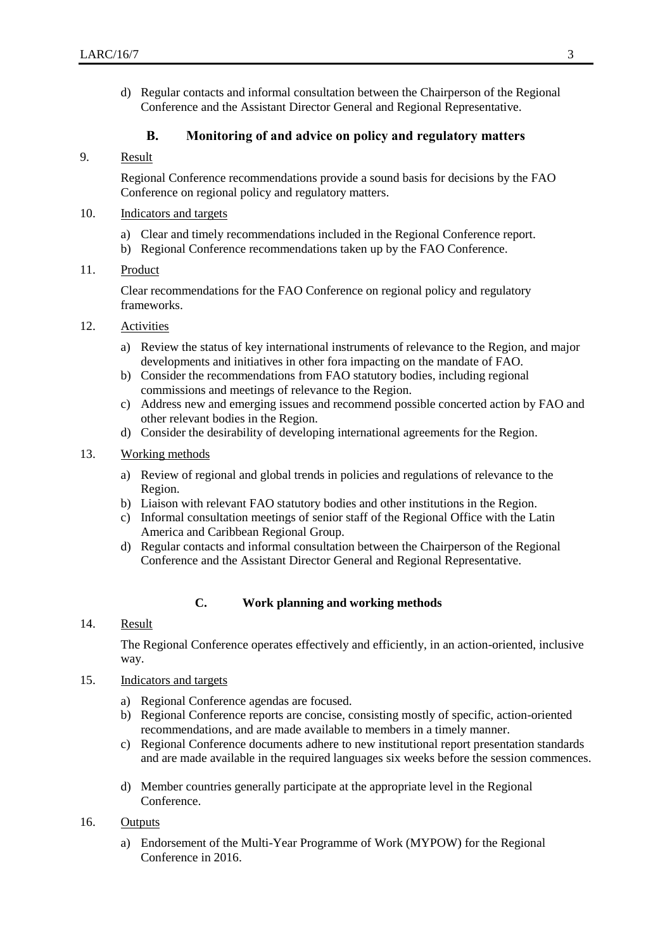d) Regular contacts and informal consultation between the Chairperson of the Regional Conference and the Assistant Director General and Regional Representative.

#### **B. Monitoring of and advice on policy and regulatory matters**

#### 9. Result

Regional Conference recommendations provide a sound basis for decisions by the FAO Conference on regional policy and regulatory matters.

- 10. Indicators and targets
	- a) Clear and timely recommendations included in the Regional Conference report.
	- b) Regional Conference recommendations taken up by the FAO Conference.

#### 11. Product

Clear recommendations for the FAO Conference on regional policy and regulatory frameworks.

#### 12. Activities

- a) Review the status of key international instruments of relevance to the Region, and major developments and initiatives in other fora impacting on the mandate of FAO.
- b) Consider the recommendations from FAO statutory bodies, including regional commissions and meetings of relevance to the Region.
- c) Address new and emerging issues and recommend possible concerted action by FAO and other relevant bodies in the Region.
- d) Consider the desirability of developing international agreements for the Region.
- 13. Working methods
	- a) Review of regional and global trends in policies and regulations of relevance to the Region.
	- b) Liaison with relevant FAO statutory bodies and other institutions in the Region.
	- c) Informal consultation meetings of senior staff of the Regional Office with the Latin America and Caribbean Regional Group.
	- d) Regular contacts and informal consultation between the Chairperson of the Regional Conference and the Assistant Director General and Regional Representative.

#### **C. Work planning and working methods**

#### 14. Result

The Regional Conference operates effectively and efficiently, in an action-oriented, inclusive way.

#### 15. Indicators and targets

- a) Regional Conference agendas are focused.
- b) Regional Conference reports are concise, consisting mostly of specific, action-oriented recommendations, and are made available to members in a timely manner.
- c) Regional Conference documents adhere to new institutional report presentation standards and are made available in the required languages six weeks before the session commences.
- d) Member countries generally participate at the appropriate level in the Regional Conference.

#### 16. Outputs

a) Endorsement of the Multi-Year Programme of Work (MYPOW) for the Regional Conference in 2016.